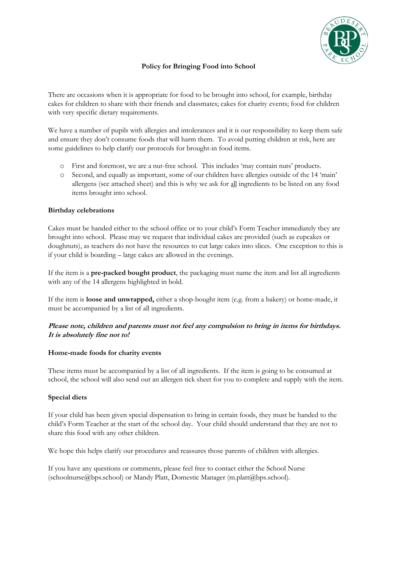

# **Policy for Bringing Food into School**

There are occasions when it is appropriate for food to be brought into school, for example, birthday cakes for children to share with their friends and classmates; cakes for charity events; food for children with very specific dietary requirements.

We have a number of pupils with allergies and intolerances and it is our responsibility to keep them safe and ensure they don't consume foods that will harm them. To avoid putting children at risk, here are some guidelines to help clarify our protocols for brought-in food items.

- o First and foremost, we are a nut-free school. This includes 'may contain nuts' products.
- o Second, and equally as important, some of our children have allergies outside of the 14 'main' allergens (see attached sheet) and this is why we ask for all ingredients to be listed on any food items brought into school.

### **Birthday celebrations**

Cakes must be handed either to the school office or to your child's Form Teacher immediately they are brought into school. Please may we request that individual cakes are provided (such as cupcakes or doughnuts), as teachers do not have the resources to cut large cakes into slices. One exception to this is if your child is boarding – large cakes are allowed in the evenings.

If the item is a **pre-packed bought product**, the packaging must name the item and list all ingredients with any of the 14 allergens highlighted in bold.

If the item is **loose and unwrapped,** either a shop-bought item (e.g. from a bakery) or home-made, it must be accompanied by a list of all ingredients.

# **Please note, children and parents must not feel any compulsion to bring in items for birthdays. It is absolutely fine not to!**

#### **Home-made foods for charity events**

These items must be accompanied by a list of all ingredients. If the item is going to be consumed at school, the school will also send out an allergen tick sheet for you to complete and supply with the item.

# **Special diets**

If your child has been given special dispensation to bring in certain foods, they must be handed to the child's Form Teacher at the start of the school day. Your child should understand that they are not to share this food with any other children.

We hope this helps clarify our procedures and reassures those parents of children with allergies.

If you have any questions or comments, please feel free to contact either the School Nurse (schoolnurse@bps.school) or Mandy Platt, Domestic Manager (m.platt@bps.school).